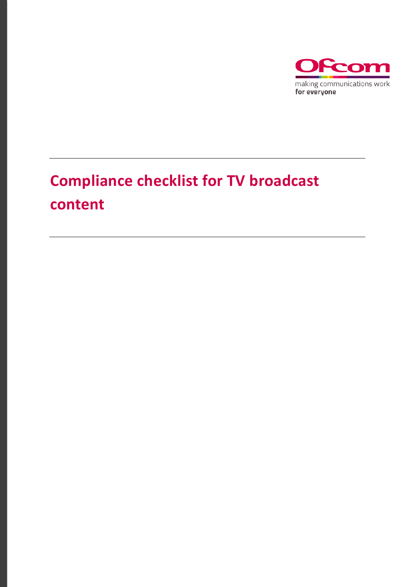

# **Compliance checklist for TV broadcast content**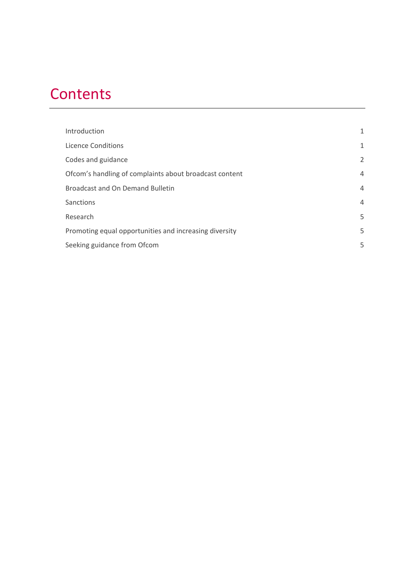## **Contents**

| Introduction                                           | 1              |
|--------------------------------------------------------|----------------|
| <b>Licence Conditions</b>                              | 1              |
| Codes and guidance                                     | $\overline{2}$ |
| Ofcom's handling of complaints about broadcast content | $\overline{4}$ |
| <b>Broadcast and On Demand Bulletin</b>                | $\overline{4}$ |
| Sanctions                                              | $\overline{4}$ |
| Research                                               | 5              |
| Promoting equal opportunities and increasing diversity | 5              |
| Seeking guidance from Ofcom                            | 5              |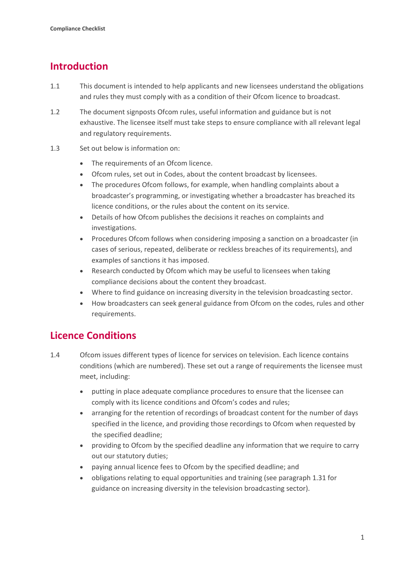### <span id="page-2-0"></span>**Introduction**

- 1.1 This document is intended to help applicants and new licensees understand the obligations and rules they must comply with as a condition of their Ofcom licence to broadcast.
- 1.2 The document signposts Ofcom rules, useful information and guidance but is not exhaustive. The licensee itself must take steps to ensure compliance with all relevant legal and regulatory requirements.
- 1.3 Set out below is information on:
	- The requirements of an Ofcom licence.
	- Ofcom rules, set out in Codes, about the content broadcast by licensees.
	- The procedures Ofcom follows, for example, when handling complaints about a broadcaster's programming, or investigating whether a broadcaster has breached its licence conditions, or the rules about the content on its service.
	- Details of how Ofcom publishes the decisions it reaches on complaints and investigations.
	- Procedures Ofcom follows when considering imposing a sanction on a broadcaster (in cases of serious, repeated, deliberate or reckless breaches of its requirements), and examples of sanctions it has imposed.
	- Research conducted by Ofcom which may be useful to licensees when taking compliance decisions about the content they broadcast.
	- Where to find guidance on increasing diversity in the television broadcasting sector.
	- How broadcasters can seek general guidance from Ofcom on the codes, rules and other requirements.

### <span id="page-2-1"></span>**Licence Conditions**

- 1.4 Ofcom issues different types of licence for services on television. Each licence contains conditions (which are numbered). These set out a range of requirements the licensee must meet, including:
	- putting in place adequate compliance procedures to ensure that the licensee can comply with its licence conditions and Ofcom's codes and rules;
	- arranging for the retention of recordings of broadcast content for the number of days specified in the licence, and providing those recordings to Ofcom when requested by the specified deadline;
	- providing to Ofcom by the specified deadline any information that we require to carry out our statutory duties;
	- paying annual licence fees to Ofcom by the specified deadline; and
	- obligations relating to equal opportunities and training (see paragraph 1.31 for guidance on increasing diversity in the television broadcasting sector).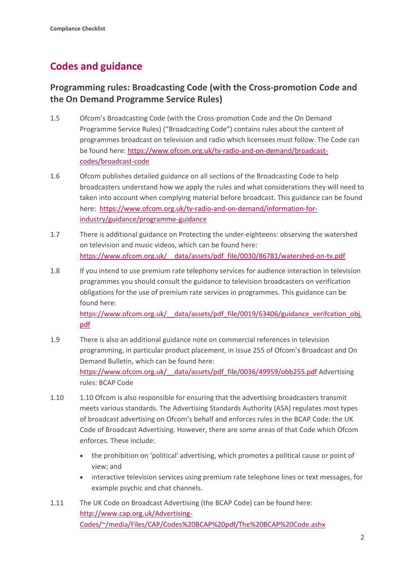### <span id="page-3-0"></span>**Codes and guidance**

### **Programming rules: Broadcasting Code (with the Cross-promotion Code and the On Demand Programme Service Rules)**

- 1.5 Ofcom's Broadcasting Code (with the Cross-promotion Code and the On Demand Programme Service Rules) ("Broadcasting Code") contains rules about the content of programmes broadcast on television and radio which licensees must follow. The Code can be found here: [https://www.ofcom.org.uk/tv-radio-and-on-demand/broadcast](https://www.ofcom.org.uk/tv-radio-and-on-demand/broadcast-codes/broadcast-code)[codes/broadcast-code](https://www.ofcom.org.uk/tv-radio-and-on-demand/broadcast-codes/broadcast-code)
- 1.6 Ofcom publishes detailed guidance on all sections of the Broadcasting Code to help broadcasters understand how we apply the rules and what considerations they will need to taken into account when complying material before broadcast. This guidance can be found here: [https://www.ofcom.org.uk/tv-radio-and-on-demand/information-for](https://www.ofcom.org.uk/tv-radio-and-on-demand/information-for-industry/guidance/programme-guidance)[industry/guidance/programme-guidance](https://www.ofcom.org.uk/tv-radio-and-on-demand/information-for-industry/guidance/programme-guidance)
- 1.7 There is additional guidance on Protecting the under-eighteens: observing the watershed on television and music videos, which can be found here: [https://www.ofcom.org.uk/\\_\\_data/assets/pdf\\_file/0030/86781/watershed-on-tv.pdf](https://www.ofcom.org.uk/__data/assets/pdf_file/0030/86781/watershed-on-tv.pdf)
- 1.8 If you intend to use premium rate telephony services for audience interaction in television programmes you should consult the guidance to television broadcasters on verification obligations for the use of premium rate services in programmes. This guidance can be found here: https://www.ofcom.org.uk/ data/assets/pdf file/0019/63406/guidance verifcation obj. [pdf](https://www.ofcom.org.uk/__data/assets/pdf_file/0019/63406/guidance_verifcation_obj.pdf)
- 1.9 There is also an additional guidance note on commercial references in television programming, in particular product placement, in issue 255 of Ofcom's Broadcast and On Demand Bulletin, which can be found here: [https://www.ofcom.org.uk/\\_\\_data/assets/pdf\\_file/0036/49959/obb255.pdf](https://www.ofcom.org.uk/__data/assets/pdf_file/0036/49959/obb255.pdf) Advertising rules: BCAP Code
- 1.10 1.10 Ofcom is also responsible for ensuring that the advertising broadcasters transmit meets various standards. The Advertising Standards Authority (ASA) regulates most types of broadcast advertising on Ofcom's behalf and enforces rules in the BCAP Code: the UK Code of Broadcast Advertising. However, there are some areas of that Code which Ofcom enforces. These include:
	- the prohibition on 'political' advertising, which promotes a political cause or point of view; and
	- interactive television services using premium rate telephone lines or text messages, for example psychic and chat channels.
- 1.11 The UK Code on Broadcast Advertising (the BCAP Code) can be found here: [http://www.cap.org.uk/Advertising-](http://www.cap.org.uk/Advertising-Codes/%7E/media/Files/CAP/Codes%20BCAP%20pdf/The%20BCAP%20Code.ashx)[Codes/~/media/Files/CAP/Codes%20BCAP%20pdf/The%20BCAP%20Code.ashx](http://www.cap.org.uk/Advertising-Codes/%7E/media/Files/CAP/Codes%20BCAP%20pdf/The%20BCAP%20Code.ashx)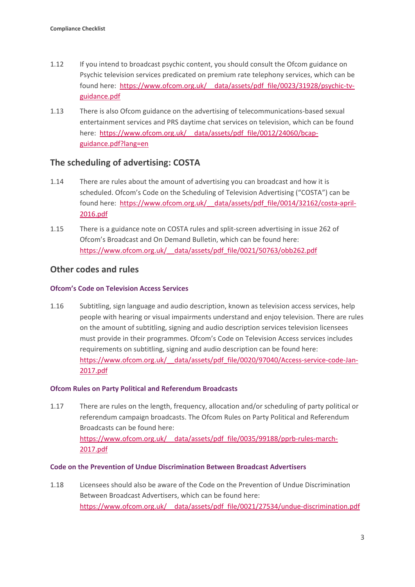- 1.12 If you intend to broadcast psychic content, you should consult the Ofcom guidance on Psychic television services predicated on premium rate telephony services, which can be found here: [https://www.ofcom.org.uk/\\_\\_data/assets/pdf\\_file/0023/31928/psychic-tv](https://www.ofcom.org.uk/__data/assets/pdf_file/0023/31928/psychic-tv-guidance.pdf)[guidance.pdf](https://www.ofcom.org.uk/__data/assets/pdf_file/0023/31928/psychic-tv-guidance.pdf)
- 1.13 There is also Ofcom guidance on the advertising of telecommunications-based sexual entertainment services and PRS daytime chat services on television, which can be found here: https://www.ofcom.org.uk/ data/assets/pdf file/0012/24060/bcap[guidance.pdf?lang=en](https://www.ofcom.org.uk/__data/assets/pdf_file/0012/24060/bcap-guidance.pdf?lang=en)

#### **The scheduling of advertising: COSTA**

- 1.14 There are rules about the amount of advertising you can broadcast and how it is scheduled. Ofcom's Code on the Scheduling of Television Advertising ("COSTA") can be found here: [https://www.ofcom.org.uk/\\_\\_data/assets/pdf\\_file/0014/32162/costa-april-](https://www.ofcom.org.uk/__data/assets/pdf_file/0014/32162/costa-april-2016.pdf)[2016.pdf](https://www.ofcom.org.uk/__data/assets/pdf_file/0014/32162/costa-april-2016.pdf)
- 1.15 There is a guidance note on COSTA rules and split-screen advertising in issue 262 of Ofcom's Broadcast and On Demand Bulletin, which can be found here: https://www.ofcom.org.uk/ \_data/assets/pdf\_file/0021/50763/obb262.pdf

#### **Other codes and rules**

#### **Ofcom's Code on Television Access Services**

1.16 Subtitling, sign language and audio description, known as television access services, help people with hearing or visual impairments understand and enjoy television. There are rules on the amount of subtitling, signing and audio description services television licensees must provide in their programmes. Ofcom's Code on Television Access services includes requirements on subtitling, signing and audio description can be found here: [https://www.ofcom.org.uk/\\_\\_data/assets/pdf\\_file/0020/97040/Access-service-code-Jan-](https://www.ofcom.org.uk/__data/assets/pdf_file/0020/97040/Access-service-code-Jan-2017.pdf)[2017.pdf](https://www.ofcom.org.uk/__data/assets/pdf_file/0020/97040/Access-service-code-Jan-2017.pdf)

#### **Ofcom Rules on Party Political and Referendum Broadcasts**

1.17 There are rules on the length, frequency, allocation and/or scheduling of party political or referendum campaign broadcasts. The Ofcom Rules on Party Political and Referendum Broadcasts can be found here: [https://www.ofcom.org.uk/\\_\\_data/assets/pdf\\_file/0035/99188/pprb-rules-march-](https://www.ofcom.org.uk/__data/assets/pdf_file/0035/99188/pprb-rules-march-2017.pdf)[2017.pdf](https://www.ofcom.org.uk/__data/assets/pdf_file/0035/99188/pprb-rules-march-2017.pdf)

#### **Code on the Prevention of Undue Discrimination Between Broadcast Advertisers**

1.18 Licensees should also be aware of the Code on the Prevention of Undue Discrimination Between Broadcast Advertisers, which can be found here: [https://www.ofcom.org.uk/\\_\\_data/assets/pdf\\_file/0021/27534/undue-discrimination.pdf](https://www.ofcom.org.uk/__data/assets/pdf_file/0021/27534/undue-discrimination.pdf)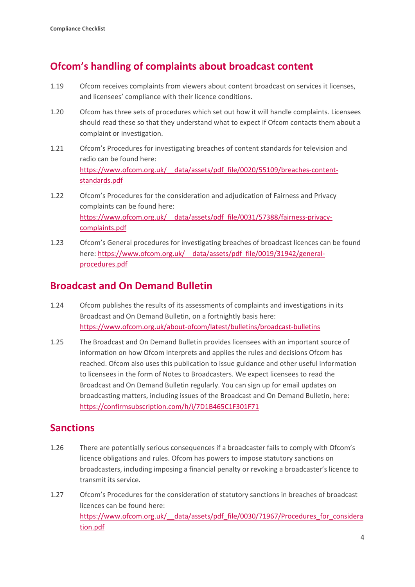### <span id="page-5-0"></span>**Ofcom's handling of complaints about broadcast content**

- 1.19 Ofcom receives complaints from viewers about content broadcast on services it licenses, and licensees' compliance with their licence conditions.
- 1.20 Ofcom has three sets of procedures which set out how it will handle complaints. Licensees should read these so that they understand what to expect if Ofcom contacts them about a complaint or investigation.
- 1.21 Ofcom's Procedures for investigating breaches of content standards for television and radio can be found here: [https://www.ofcom.org.uk/\\_\\_data/assets/pdf\\_file/0020/55109/breaches-content](https://www.ofcom.org.uk/__data/assets/pdf_file/0020/55109/breaches-content-standards.pdf)[standards.pdf](https://www.ofcom.org.uk/__data/assets/pdf_file/0020/55109/breaches-content-standards.pdf)
- 1.22 Ofcom's Procedures for the consideration and adjudication of Fairness and Privacy complaints can be found here: [https://www.ofcom.org.uk/\\_\\_data/assets/pdf\\_file/0031/57388/fairness-privacy](https://www.ofcom.org.uk/__data/assets/pdf_file/0031/57388/fairness-privacy-complaints.pdf)[complaints.pdf](https://www.ofcom.org.uk/__data/assets/pdf_file/0031/57388/fairness-privacy-complaints.pdf)
- 1.23 Ofcom's General procedures for investigating breaches of broadcast licences can be found here: [https://www.ofcom.org.uk/\\_\\_data/assets/pdf\\_file/0019/31942/general](https://www.ofcom.org.uk/__data/assets/pdf_file/0019/31942/general-procedures.pdf)[procedures.pdf](https://www.ofcom.org.uk/__data/assets/pdf_file/0019/31942/general-procedures.pdf)

### <span id="page-5-1"></span>**Broadcast and On Demand Bulletin**

- 1.24 Ofcom publishes the results of its assessments of complaints and investigations in its Broadcast and On Demand Bulletin, on a fortnightly basis here: <https://www.ofcom.org.uk/about-ofcom/latest/bulletins/broadcast-bulletins>
- 1.25 The Broadcast and On Demand Bulletin provides licensees with an important source of information on how Ofcom interprets and applies the rules and decisions Ofcom has reached. Ofcom also uses this publication to issue guidance and other useful information to licensees in the form of Notes to Broadcasters. We expect licensees to read the Broadcast and On Demand Bulletin regularly. You can sign up for email updates on broadcasting matters, including issues of the Broadcast and On Demand Bulletin, here: <https://confirmsubscription.com/h/i/7D1B465C1F301F71>

### <span id="page-5-2"></span>**Sanctions**

- 1.26 There are potentially serious consequences if a broadcaster fails to comply with Ofcom's licence obligations and rules. Ofcom has powers to impose statutory sanctions on broadcasters, including imposing a financial penalty or revoking a broadcaster's licence to transmit its service.
- 1.27 Ofcom's Procedures for the consideration of statutory sanctions in breaches of broadcast licences can be found here: https://www.ofcom.org.uk/ data/assets/pdf file/0030/71967/Procedures for considera [tion.pdf](https://www.ofcom.org.uk/__data/assets/pdf_file/0030/71967/Procedures_for_consideration.pdf)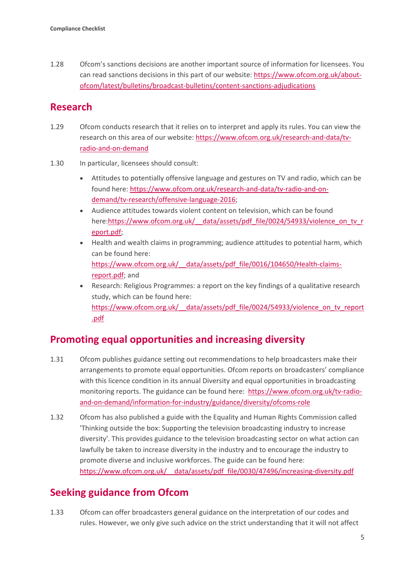1.28 Ofcom's sanctions decisions are another important source of information for licensees. You can read sanctions decisions in this part of our website: [https://www.ofcom.org.uk/about](https://www.ofcom.org.uk/about-ofcom/latest/bulletins/broadcast-bulletins/content-sanctions-adjudications)[ofcom/latest/bulletins/broadcast-bulletins/content-sanctions-adjudications](https://www.ofcom.org.uk/about-ofcom/latest/bulletins/broadcast-bulletins/content-sanctions-adjudications)

### <span id="page-6-0"></span>**Research**

- 1.29 Ofcom conducts research that it relies on to interpret and apply its rules. You can view the research on this area of our website: [https://www.ofcom.org.uk/research-and-data/tv](https://www.ofcom.org.uk/research-and-data/tv-radio-and-on-demand)[radio-and-on-demand](https://www.ofcom.org.uk/research-and-data/tv-radio-and-on-demand)
- 1.30 In particular, licensees should consult:
	- Attitudes to potentially offensive language and gestures on TV and radio, which can be found here: [https://www.ofcom.org.uk/research-and-data/tv-radio-and-on](https://www.ofcom.org.uk/research-and-data/tv-radio-and-on-demand/tv-research/offensive-language-2016)[demand/tv-research/offensive-language-2016;](https://www.ofcom.org.uk/research-and-data/tv-radio-and-on-demand/tv-research/offensive-language-2016)
	- Audience attitudes towards violent content on television, which can be found here[:https://www.ofcom.org.uk/\\_\\_data/assets/pdf\\_file/0024/54933/violence\\_on\\_tv\\_r](https://www.ofcom.org.uk/__data/assets/pdf_file/0024/54933/violence_on_tv_report.pdf) [eport.pdf;](https://www.ofcom.org.uk/__data/assets/pdf_file/0024/54933/violence_on_tv_report.pdf)
	- Health and wealth claims in programming; audience attitudes to potential harm, which can be found here: https://www.ofcom.org.uk/ data/assets/pdf file/0016/104650/Health-claims[report.pdf;](https://www.ofcom.org.uk/__data/assets/pdf_file/0016/104650/Health-claims-report.pdf) and
	- Research: Religious Programmes: a report on the key findings of a qualitative research study, which can be found here: [https://www.ofcom.org.uk/\\_\\_data/assets/pdf\\_file/0024/54933/violence\\_on\\_tv\\_report](https://www.ofcom.org.uk/__data/assets/pdf_file/0024/54933/violence_on_tv_report.pdf) [.pdf](https://www.ofcom.org.uk/__data/assets/pdf_file/0024/54933/violence_on_tv_report.pdf)

### <span id="page-6-1"></span>**Promoting equal opportunities and increasing diversity**

- 1.31 Ofcom publishes guidance setting out recommendations to help broadcasters make their arrangements to promote equal opportunities. Ofcom reports on broadcasters' compliance with this licence condition in its annual Diversity and equal opportunities in broadcasting monitoring reports. The guidance can be found here: [https://www.ofcom.org.uk/tv-radio](https://www.ofcom.org.uk/tv-radio-and-on-demand/information-for-industry/guidance/diversity/ofcoms-role)[and-on-demand/information-for-industry/guidance/diversity/ofcoms-role](https://www.ofcom.org.uk/tv-radio-and-on-demand/information-for-industry/guidance/diversity/ofcoms-role)
- 1.32 Ofcom has also published a guide with the Equality and Human Rights Commission called 'Thinking outside the box: Supporting the television broadcasting industry to increase diversity'. This provides guidance to the television broadcasting sector on what action can lawfully be taken to increase diversity in the industry and to encourage the industry to promote diverse and inclusive workforces. The guide can be found here: [https://www.ofcom.org.uk/\\_\\_data/assets/pdf\\_file/0030/47496/increasing-diversity.pdf](https://www.ofcom.org.uk/__data/assets/pdf_file/0030/47496/increasing-diversity.pdf)

### <span id="page-6-2"></span>**Seeking guidance from Ofcom**

1.33 Ofcom can offer broadcasters general guidance on the interpretation of our codes and rules. However, we only give such advice on the strict understanding that it will not affect